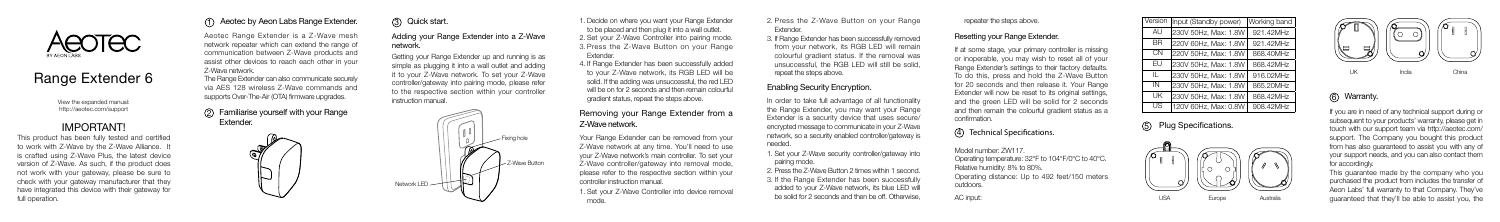View the expanded manual: http://aeotec.com/support

Aeotec Range Extender is a Z-Wave mesh network repeater which can extend the range of communication between Z-Wave products and assist other devices to reach each other in your Z-Wave network.

The Range Extender can also communicate securely via AES 128 wireless Z-Wave commands and supports Over-The-Air (OTA) firmware upgrades.

> 1. Set your Z-Wave Controller into device removal mode.

#### Familiarise yourself with your Range 2 Extender.

ଔ

Getting your Range Extender up and running is as simple as plugging it into a wall outlet and adding it to your Z-Wave network. To set your Z-Wave controller/gateway into pairing mode, please refer to the respective section within your controller instruction manual.

## Aeotec by Aeon Labs Range Extender. 1

In order to take full advantage of all functionality the Range Extender, you may want your Range Extender is a security device that uses secure/ encrypted message to communicate in your Z-Wave network, so a security enabled controller/gateway is needed.

3 Quick start. 1. Adding your Range Extender into a Z-Wave

> Fixing hole Z-Wave Button

2. Set your Z-Wave Controller into pairing mode. 3. Press the Z-Wave Button on your Range 1. Decide on where you want your Range Extender to be placed and then plug it into a wall outlet. Extender.

4. If Range Extender has been successfully added to your Z-Wave network, its RGB LED will be solid. If the adding was unsuccessful, the red LED will be on for 2 seconds and then remain colourful gradient status, repeat the steps above.

2. Press the Z-Wave Button on your Range **Extender** 



# Range Extender 6

## IMPORTANT!

This product has been fully tested and certified to work with Z-Wave by the Z-Wave Alliance. It is crafted using Z-Wave Plus, the latest device version of Z-Wave. As such, if the product does not work with your gateway, please be sure to check with your gateway manufacturer that they have integrated this device with their gateway for full operation.

If at some stage, your primary controller is missing or inoperable, you may wish to reset all of your Range Extender's settings to their factory defaults. To do this, press and hold the Z-Wave Button for 20 seconds and then release it. Your Range Extender will now be reset to its original settings, and the green LED will be solid for 2 seconds and then remain the colourful gradient status as a confirmation.

network.



#### Removing your Range Extender from a Z-Wave network.

Your Range Extender can be removed from your Z-Wave network at any time. You'll need to use your Z-Wave network's main controller. To set your Z-Wave controller/gateway into removal mode, please refer to the respective section within your controller instruction manual.

3. If Range Extender has been successfully removed from your network, its RGB LED will remain colourful gradient status. If the removal was unsuccessful, the RGB LED will still be solid, repeat the steps above.

### Enabling Security Encryption.

1. Set your Z-Wave security controller/gateway into pairing mode.

2. Press the Z-Wave Button 2 times within 1 second. 3. If the Range Extender has been successfully added to your Z-Wave network, its blue LED will be solid for 2 seconds and then be off. Otherwise,

#### Resetting your Range Extender.

Model number: ZW117. Operating temperature: 32°F to 104°F/0°C to 40°C. Relative humidity: 8% to 80%. Operating distance: Up to 492 feet/150 meters outdoors. AC input:

#### Technical Specifications. 4

repeater the steps above.

| Version      | Input (Standby power) | Working band |  |
|--------------|-----------------------|--------------|--|
| AU           | 230V 50Hz, Max: 1.8W  | 921.42MHz    |  |
| <b>BR</b>    | 220V 60Hz, Max: 1.8W  | 921.42MHz    |  |
| CN           | 220V 50Hz, Max: 1.8W  | 868.40MHz    |  |
| Fυ           | 230V 50Hz, Max: 1.8W  | 868.42MHz    |  |
| $\mathbf{H}$ | 230V 50Hz, Max: 1.8W  | 916.02MHz    |  |
| IN           | 230V 50Hz, Max: 1.8W  | 865.20MHz    |  |
| UΚ           | 230V 50Hz, Max: 1.8W  | 868.42MHz    |  |
| US           | 120V 60Hz, Max: 0.8W  | 908.42MHz    |  |

#### 5 Plug Specifications.



6 Warranty.

If you are in need of any technical support during or subsequent to your products' warranty, please get in touch with our support team via http://aeotec.com/ support. The Company you bought this product from has also guaranteed to assist you with any of your support needs, and you can also contact them for accordingly.

This guarantee made by the company who you purchased the product from includes the transfer of Aeon Labs' full warranty to that Company. They've USA Europe Australia guaranteed that they'll be able to assist you, the

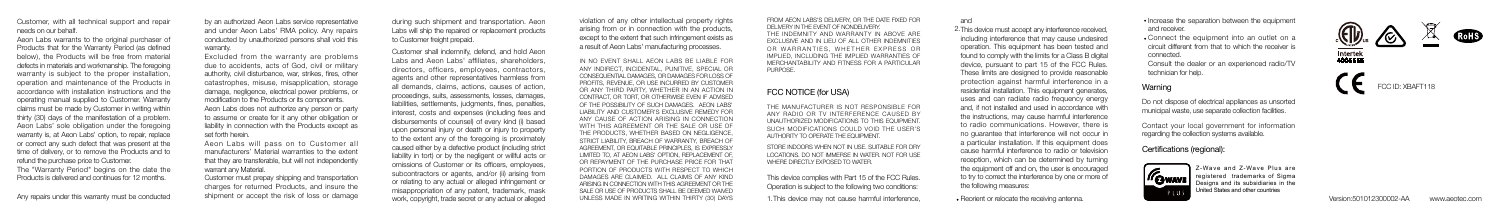Any repairs under this warranty must be conducted

Customer shall indemnify, defend, and hold Aeon Labs and Aeon Labs' affiliates, shareholders, directors, officers, employees, contractors, agents and other representatives harmless from all demands, claims, actions, causes of action, proceedings, suits, assessments, losses, damages, liabilities, settlements, judgments, fines, penalties, interest, costs and expenses (including fees and disbursements of counsel) of every kind (i) based upon personal injury or death or injury to property to the extent any of the foregoing is proximately caused either by a defective product (including strict liability in tort) or by the negligent or willful acts or omissions of Customer or its officers, employees, subcontractors or agents, and/or (ii) arising from or relating to any actual or alleged infringement or misappropriation of any patent, trademark, mask work, copyright, trade secret or any actual or alleged

IN NO EVENT SHALL AEON LABS BE LIABLE FOR ANY INDIRECT, INCIDENTAL, PUNITIVE, SPECIAL OR CONSEQUENTIAL DAMAGES, OR DAMAGES FOR LOSS OF PROFITS, REVENUE, OR USE INCURRED BY CUSTOMER OR ANY THIRD PARTY, WHETHER IN AN ACTION IN CONTRACT, OR TORT, OR OTHERWISE EVEN IF ADVISED OF THE POSSIBILITY OF SUCH DAMAGES. AEON LABS' LIABILITY AND CUSTOMER'S EXCLUSIVE REMEDY FOR ANY CAUSE OF ACTION ARISING IN CONNECTION WITH THIS AGREEMENT OR THE SALE OR USE OF THE PRODUCTS, WHETHER BASED ON NEGLIGENCE STRICT LIABILITY, BREACH OF WARRANTY, BREACH OF AGREEMENT, OR EQUITABLE PRINCIPLES, IS EXPRESSLY LIMITED TO, AT AEON LABS' OPTION, REPLACEMENT OF OR REPAYMENT OF THE PURCHASE PRICE FOR THAT PORTION OF PRODUCTS WITH RESPECT TO WHICH DAMAGES ARE CLAIMED. ALL CLAIMS OF ANY KIND ARISING IN CONNECTION WITH THIS AGREEMENT OR THE SALE OR USE OF PRODUCTS SHALL BE DEEMED WAIVED UNLESS MADE IN WRITING WITHIN THIRTY (30) DAYS 2. This device must accept any interference received, including interference that may cause undesired operation. This equipment has been tested and found to comply with the limits for a Class B digital device, pursuant to part 15 of the FCC Rules. These limits are designed to provide reasonable protection against harmful interference in a residential installation. This equipment generates, uses and can radiate radio frequency energy and, if not installed and used in accordance with the instructions, may cause harmful interference to radio communications. However, there is no guarantee that interference will not occur in a particular installation. If this equipment does cause harmful interference to radio or television reception, which can be determined by turning the equipment off and on, the user is encouraged to try to correct the interference by one or more of the following measures:

#### FCC NOTICE (for USA)

This device complies with Part 15 of the FCC Rules. Operation is subject to the following two conditions:

THE MANUFACTURER IS NOT RESPONSIBLE FOR ANY RADIO OR TV INTERFERENCE CAUSED BY UNAUTHORIZED MODIFICATIONS TO THIS EQUIPMENT. SUCH MODIFICATIONS COULD VOID THE USER'S AUTHORITY TO OPERATE THE EQUIPMENT.

STORE INDOORS WHEN NOT IN LISE. SUITABLE FOR DRY LOCATIONS. DO NOT IMMERSE IN WATER. NOT FOR USE WHERE DIRECTLY EXPOSED TO WATER.

Reorient or relocate the receiving antenna.

Do not dispose of electrical appliances as unsorted municipal waste, use separate collection facilities.

#### Warning

### Certifications (regional):



Z-Wave and Z-Wave Plus are registered trademarks of Sigma Designs and its subsidiaries in the United States and other countries

Contact your local government for information regarding the collection systems available.

1.This device may not cause harmful interference,

#### and

- Increase the separation between the equipment and receiver.
- Connect the equipment into an outlet on a circuit different from that to which the receiver is connected.

Customer, with all technical support and repair needs on our behalf.

Aeon Labs warrants to the original purchaser of Products that for the Warranty Period (as defined below), the Products will be free from material defects in materials and workmanship. The foregoing warranty is subject to the proper installation, operation and maintenance of the Products in accordance with installation instructions and the operating manual supplied to Customer. Warranty claims must be made by Customer in writing within thirty (30) days of the manifestation of a problem. Aeon Labs' sole obligation under the foregoing warranty is, at Aeon Labs' option, to repair, replace or correct any such defect that was present at the time of delivery, or to remove the Products and to refund the purchase price to Customer. The "Warranty Period" begins on the date the

Products is delivered and continues for 12 months.

by an authorized Aeon Labs service representative and under Aeon Labs' RMA policy. Any repairs conducted by unauthorized persons shall void this warranty.

Excluded from the warranty are problems due to accidents, acts of God, civil or military authority, civil disturbance, war, strikes, fires, other catastrophes, misuse, misapplication, storage damage, negligence, electrical power problems, or modification to the Products or its components. Aeon Labs does not authorize any person or party to assume or create for it any other obligation or liability in connection with the Products except as set forth herein.

Aeon Labs will pass on to Customer all manufacturers' Material warranties to the extent that they are transferable, but will not independently warrant any Material.

Customer must prepay shipping and transportation charges for returned Products, and insure the shipment or accept the risk of loss or damage FROM AEON LABS'S DELIVERY, OR THE DATE FIXED FOR DELIVERY IN THE EVENT OF NONDELIVERY. THE INDEMNITY AND WARRANTY IN ABOVE ARE EXCLUSIVE AND IN LIEU OF ALL OTHER INDEMNITIES OR WARRANTIES, WHETHER EXPRESS OR IMPLIED, INCLUDING THE IMPLIED WARRANTIES OF MERCHANTABILITY AND FITNESS FOR A PARTICULAR

PURPOSE.

during such shipment and transportation. Aeon Labs will ship the repaired or replacement products to Customer freight prepaid.

violation of any other intellectual property rights arising from or in connection with the products, except to the extent that such infringement exists as a result of Aeon Labs' manufacturing processes.

> Consult the dealer or an experienced radio/TV technician for help.